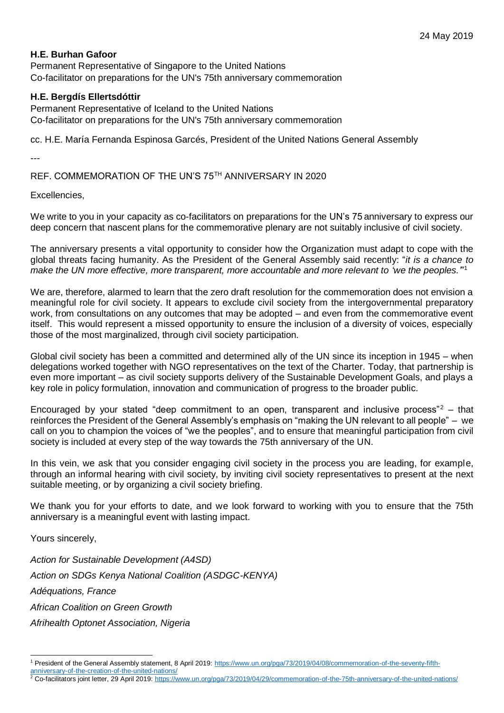## **H.E. Burhan Gafoor**

Permanent Representative of Singapore to the United Nations Co-facilitator on preparations for the UN's 75th anniversary commemoration

## **H.E. Bergdís Ellertsdóttir**

Permanent Representative of Iceland to the United Nations Co-facilitator on preparations for the UN's 75th anniversary commemoration

cc. H.E. María Fernanda Espinosa Garcés, President of the United Nations General Assembly

---

REF. COMMEMORATION OF THE UN'S 75TH ANNIVERSARY IN 2020

Excellencies,

We write to you in your capacity as co-facilitators on preparations for the UN's 75 anniversary to express our deep concern that nascent plans for the commemorative plenary are not suitably inclusive of civil society.

The anniversary presents a vital opportunity to consider how the Organization must adapt to cope with the global threats facing humanity. As the President of the General Assembly said recently: "*it is a chance to make the UN more effective, more transparent, more accountable and more relevant to 'we the peoples.'*" 1

We are, therefore, alarmed to learn that the zero draft resolution for the commemoration does not envision a meaningful role for civil society. It appears to exclude civil society from the intergovernmental preparatory work, from consultations on any outcomes that may be adopted – and even from the commemorative event itself. This would represent a missed opportunity to ensure the inclusion of a diversity of voices, especially those of the most marginalized, through civil society participation.

Global civil society has been a committed and determined ally of the UN since its inception in 1945 – when delegations worked together with NGO representatives on the text of the Charter. Today, that partnership is even more important – as civil society supports delivery of the Sustainable Development Goals, and plays a key role in policy formulation, innovation and communication of progress to the broader public.

Encouraged by your stated "deep commitment to an open, transparent and inclusive process" – that reinforces the President of the General Assembly's emphasis on "making the UN relevant to all people" – we call on you to champion the voices of "we the peoples", and to ensure that meaningful participation from civil society is included at every step of the way towards the 75th anniversary of the UN.

In this vein, we ask that you consider engaging civil society in the process you are leading, for example, through an informal hearing with civil society, by inviting civil society representatives to present at the next suitable meeting, or by organizing a civil society briefing.

We thank you for your efforts to date, and we look forward to working with you to ensure that the 75th anniversary is a meaningful event with lasting impact.

Yours sincerely,

-

*Action for Sustainable Development (A4SD) Action on SDGs Kenya National Coalition (ASDGC-KENYA) Adéquations, France African Coalition on Green Growth Afrihealth Optonet Association, Nigeria*

<sup>1</sup> President of the General Assembly statement, 8 April 2019: [https://www.un.org/pga/73/2019/04/08/commemoration-of-the-seventy-fifth](https://www.un.org/pga/73/2019/04/08/commemoration-of-the-seventy-fifth-anniversary-of-the-creation-of-the-united-nations/)[anniversary-of-the-creation-of-the-united-nations/](https://www.un.org/pga/73/2019/04/08/commemoration-of-the-seventy-fifth-anniversary-of-the-creation-of-the-united-nations/)

<sup>&</sup>lt;sup>2</sup> Co-facilitators joint letter, 29 April 2019:<https://www.un.org/pga/73/2019/04/29/commemoration-of-the-75th-anniversary-of-the-united-nations/>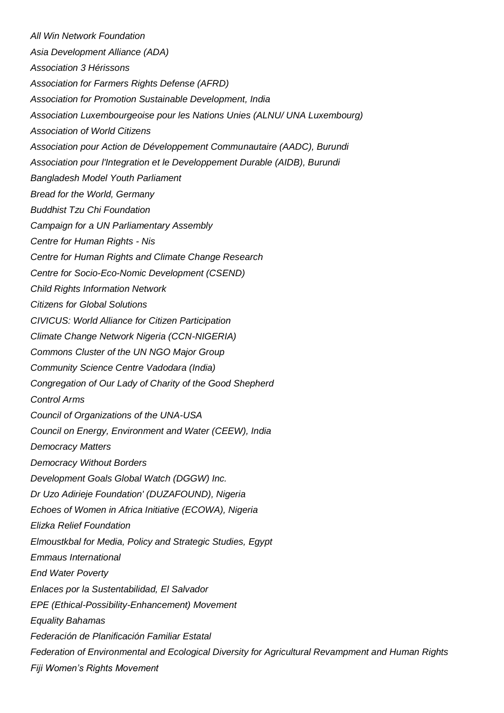*All Win Network Foundation Asia Development Alliance (ADA) Association 3 Hérissons Association for Farmers Rights Defense (AFRD) Association for Promotion Sustainable Development, India Association Luxembourgeoise pour les Nations Unies (ALNU/ UNA Luxembourg) Association of World Citizens Association pour Action de Développement Communautaire (AADC), Burundi Association pour l'Integration et le Developpement Durable (AIDB), Burundi Bangladesh Model Youth Parliament Bread for the World, Germany Buddhist Tzu Chi Foundation Campaign for a UN Parliamentary Assembly Centre for Human Rights - Nis Centre for Human Rights and Climate Change Research Centre for Socio-Eco-Nomic Development (CSEND) Child Rights Information Network Citizens for Global Solutions CIVICUS: World Alliance for Citizen Participation Climate Change Network Nigeria (CCN-NIGERIA) Commons Cluster of the UN NGO Major Group Community Science Centre Vadodara (India) Congregation of Our Lady of Charity of the Good Shepherd Control Arms Council of Organizations of the UNA-USA Council on Energy, Environment and Water (CEEW), India Democracy Matters Democracy Without Borders Development Goals Global Watch (DGGW) Inc. Dr Uzo Adirieje Foundation' (DUZAFOUND), Nigeria Echoes of Women in Africa Initiative (ECOWA), Nigeria Elizka Relief Foundation Elmoustkbal for Media, Policy and Strategic Studies, Egypt Emmaus International End Water Poverty Enlaces por la Sustentabilidad, El Salvador EPE (Ethical-Possibility-Enhancement) Movement Equality Bahamas Federación de Planificación Familiar Estatal Federation of Environmental and Ecological Diversity for Agricultural Revampment and Human Rights Fiji Women's Rights Movement*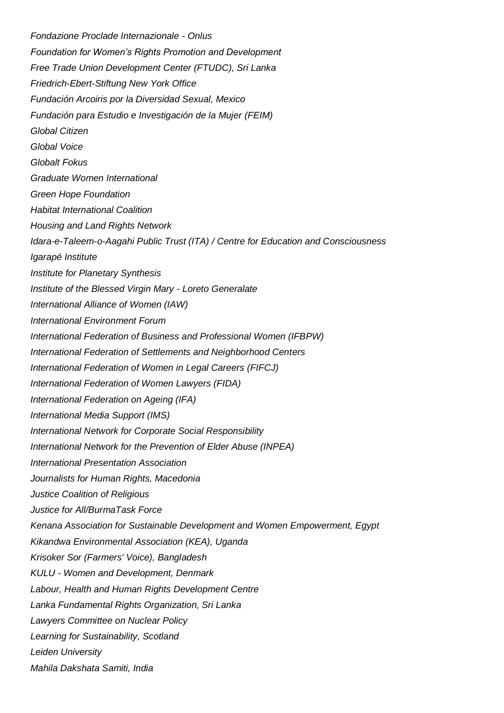*Fondazione Proclade Internazionale - Onlus Foundation for Women's Rights Promotion and Development Free Trade Union Development Center (FTUDC), Sri Lanka Friedrich-Ebert-Stiftung New York Office Fundación Arcoiris por la Diversidad Sexual, Mexico Fundación para Estudio e Investigación de la Mujer (FEIM) Global Citizen Global Voice Globalt Fokus Graduate Women International Green Hope Foundation Habitat International Coalition Housing and Land Rights Network Idara-e-Taleem-o-Aagahi Public Trust (ITA) / Centre for Education and Consciousness Igarapé Institute Institute for Planetary Synthesis Institute of the Blessed Virgin Mary - Loreto Generalate International Alliance of Women (IAW) International Environment Forum International Federation of Business and Professional Women (IFBPW) International Federation of Settlements and Neighborhood Centers International Federation of Women in Legal Careers (FIFCJ) International Federation of Women Lawyers (FIDA) International Federation on Ageing (IFA) International Media Support (IMS) International Network for Corporate Social Responsibility International Network for the Prevention of Elder Abuse (INPEA) International Presentation Association Journalists for Human Rights, Macedonia Justice Coalition of Religious Justice for All/BurmaTask Force Kenana Association for Sustainable Development and Women Empowerment, Egypt Kikandwa Environmental Association (KEA), Uganda Krisoker Sor (Farmers' Voice), Bangladesh KULU - Women and Development, Denmark Labour, Health and Human Rights Development Centre Lanka Fundamental Rights Organization, Sri Lanka Lawyers Committee on Nuclear Policy Learning for Sustainability, Scotland Leiden University Mahila Dakshata Samiti, India*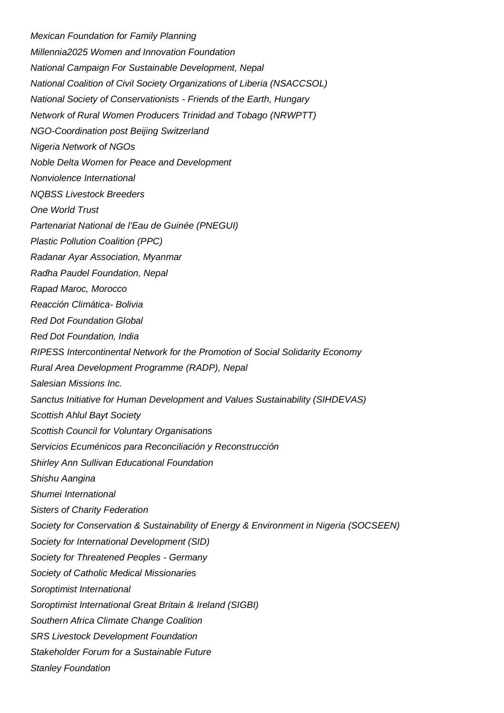*Mexican Foundation for Family Planning Millennia2025 Women and Innovation Foundation National Campaign For Sustainable Development, Nepal National Coalition of Civil Society Organizations of Liberia (NSACCSOL) National Society of Conservationists - Friends of the Earth, Hungary Network of Rural Women Producers Trinidad and Tobago (NRWPTT) NGO-Coordination post Beijing Switzerland Nigeria Network of NGOs Noble Delta Women for Peace and Development Nonviolence International NQBSS Livestock Breeders One World Trust Partenariat National de l'Eau de Guinée (PNEGUI) Plastic Pollution Coalition (PPC) Radanar Ayar Association, Myanmar Radha Paudel Foundation, Nepal Rapad Maroc, Morocco Reacción Climática- Bolivia Red Dot Foundation Global Red Dot Foundation, India RIPESS Intercontinental Network for the Promotion of Social Solidarity Economy Rural Area Development Programme (RADP), Nepal Salesian Missions Inc. Sanctus Initiative for Human Development and Values Sustainability (SIHDEVAS) Scottish Ahlul Bayt Society Scottish Council for Voluntary Organisations Servicios Ecuménicos para Reconciliación y Reconstrucción Shirley Ann Sullivan Educational Foundation Shishu Aangina Shumei International Sisters of Charity Federation Society for Conservation & Sustainability of Energy & Environment in Nigeria (SOCSEEN) Society for International Development (SID) Society for Threatened Peoples - Germany Society of Catholic Medical Missionaries Soroptimist International Soroptimist International Great Britain & Ireland (SIGBI) Southern Africa Climate Change Coalition SRS Livestock Development Foundation Stakeholder Forum for a Sustainable Future Stanley Foundation*